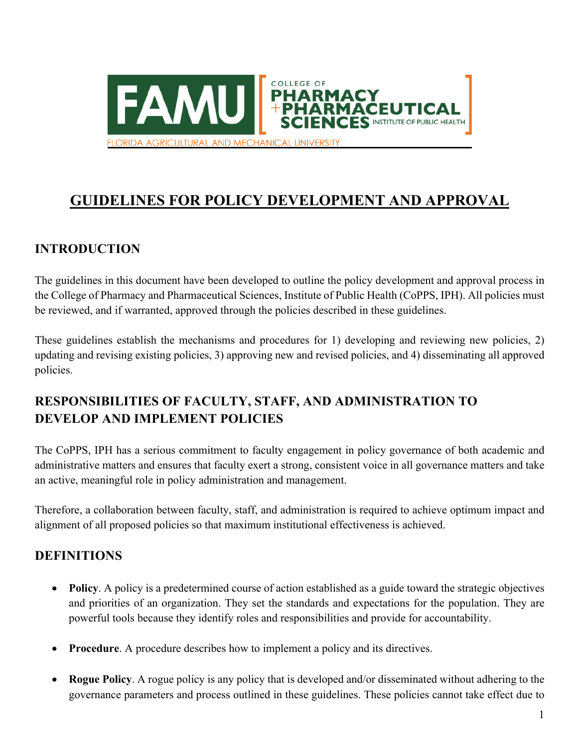

# **GUIDELINES FOR POLICY DEVELOPMENT AND APPROVAL**

## **INTRODUCTION**

The guidelines in this document have been developed to outline the policy development and approval process in the College of Pharmacy and Pharmaceutical Sciences, Institute of Public Health (CoPPS, IPH). All policies must be reviewed, and if warranted, approved through the policies described in these guidelines.

These guidelines establish the mechanisms and procedures for 1) developing and reviewing new policies, 2) updating and revising existing policies, 3) approving new and revised policies, and 4) disseminating all approved policies.

## **RESPONSIBILITIES OF FACULTY, STAFF, AND ADMINISTRATION TO DEVELOP AND IMPLEMENT POLICIES**

The CoPPS, IPH has a serious commitment to faculty engagement in policy governance of both academic and administrative matters and ensures that faculty exert a strong, consistent voice in all governance matters and take an active, meaningful role in policy administration and management.

Therefore, a collaboration between faculty, staff, and administration is required to achieve optimum impact and alignment of all proposed policies so that maximum institutional effectiveness is achieved.

## **DEFINITIONS**

- **Policy**. A policy is a predetermined course of action established as a guide toward the strategic objectives and priorities of an organization. They set the standards and expectations for the population. They are powerful tools because they identify roles and responsibilities and provide for accountability.
- **Procedure**. A procedure describes how to implement a policy and its directives.
- **Rogue Policy**. A rogue policy is any policy that is developed and/or disseminated without adhering to the governance parameters and process outlined in these guidelines. These policies cannot take effect due to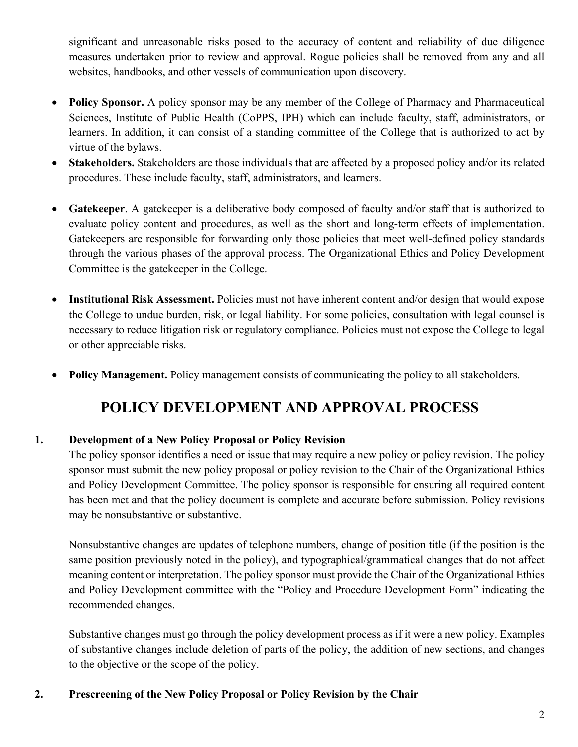significant and unreasonable risks posed to the accuracy of content and reliability of due diligence measures undertaken prior to review and approval. Rogue policies shall be removed from any and all websites, handbooks, and other vessels of communication upon discovery.

- **Policy Sponsor.** A policy sponsor may be any member of the College of Pharmacy and Pharmaceutical Sciences, Institute of Public Health (CoPPS, IPH) which can include faculty, staff, administrators, or learners. In addition, it can consist of a standing committee of the College that is authorized to act by virtue of the bylaws.
- **Stakeholders.** Stakeholders are those individuals that are affected by a proposed policy and/or its related procedures. These include faculty, staff, administrators, and learners.
- **Gatekeeper**. A gatekeeper is a deliberative body composed of faculty and/or staff that is authorized to evaluate policy content and procedures, as well as the short and long-term effects of implementation. Gatekeepers are responsible for forwarding only those policies that meet well-defined policy standards through the various phases of the approval process. The Organizational Ethics and Policy Development Committee is the gatekeeper in the College.
- **Institutional Risk Assessment.** Policies must not have inherent content and/or design that would expose the College to undue burden, risk, or legal liability. For some policies, consultation with legal counsel is necessary to reduce litigation risk or regulatory compliance. Policies must not expose the College to legal or other appreciable risks.
- **Policy Management.** Policy management consists of communicating the policy to all stakeholders.

## **POLICY DEVELOPMENT AND APPROVAL PROCESS**

#### **1. Development of a New Policy Proposal or Policy Revision**

The policy sponsor identifies a need or issue that may require a new policy or policy revision. The policy sponsor must submit the new policy proposal or policy revision to the Chair of the Organizational Ethics and Policy Development Committee. The policy sponsor is responsible for ensuring all required content has been met and that the policy document is complete and accurate before submission. Policy revisions may be nonsubstantive or substantive.

Nonsubstantive changes are updates of telephone numbers, change of position title (if the position is the same position previously noted in the policy), and typographical/grammatical changes that do not affect meaning content or interpretation. The policy sponsor must provide the Chair of the Organizational Ethics and Policy Development committee with the "Policy and Procedure Development Form" indicating the recommended changes.

Substantive changes must go through the policy development process as if it were a new policy. Examples of substantive changes include deletion of parts of the policy, the addition of new sections, and changes to the objective or the scope of the policy.

#### **2. Prescreening of the New Policy Proposal or Policy Revision by the Chair**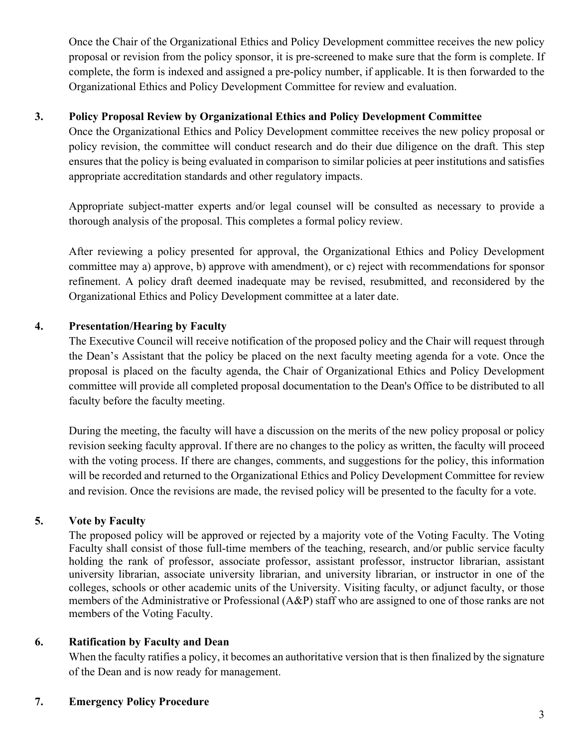Once the Chair of the Organizational Ethics and Policy Development committee receives the new policy proposal or revision from the policy sponsor, it is pre-screened to make sure that the form is complete. If complete, the form is indexed and assigned a pre-policy number, if applicable. It is then forwarded to the Organizational Ethics and Policy Development Committee for review and evaluation.

#### **3. Policy Proposal Review by Organizational Ethics and Policy Development Committee**

Once the Organizational Ethics and Policy Development committee receives the new policy proposal or policy revision, the committee will conduct research and do their due diligence on the draft. This step ensures that the policy is being evaluated in comparison to similar policies at peer institutions and satisfies appropriate accreditation standards and other regulatory impacts.

Appropriate subject-matter experts and/or legal counsel will be consulted as necessary to provide a thorough analysis of the proposal. This completes a formal policy review.

After reviewing a policy presented for approval, the Organizational Ethics and Policy Development committee may a) approve, b) approve with amendment), or c) reject with recommendations for sponsor refinement. A policy draft deemed inadequate may be revised, resubmitted, and reconsidered by the Organizational Ethics and Policy Development committee at a later date.

#### **4. Presentation/Hearing by Faculty**

The Executive Council will receive notification of the proposed policy and the Chair will request through the Dean's Assistant that the policy be placed on the next faculty meeting agenda for a vote. Once the proposal is placed on the faculty agenda, the Chair of Organizational Ethics and Policy Development committee will provide all completed proposal documentation to the Dean's Office to be distributed to all faculty before the faculty meeting.

During the meeting, the faculty will have a discussion on the merits of the new policy proposal or policy revision seeking faculty approval. If there are no changes to the policy as written, the faculty will proceed with the voting process. If there are changes, comments, and suggestions for the policy, this information will be recorded and returned to the Organizational Ethics and Policy Development Committee for review and revision. Once the revisions are made, the revised policy will be presented to the faculty for a vote.

#### **5. Vote by Faculty**

The proposed policy will be approved or rejected by a majority vote of the Voting Faculty. The Voting Faculty shall consist of those full-time members of the teaching, research, and/or public service faculty holding the rank of professor, associate professor, assistant professor, instructor librarian, assistant university librarian, associate university librarian, and university librarian, or instructor in one of the colleges, schools or other academic units of the University. Visiting faculty, or adjunct faculty, or those members of the Administrative or Professional (A&P) staff who are assigned to one of those ranks are not members of the Voting Faculty.

#### **6. Ratification by Faculty and Dean**

When the faculty ratifies a policy, it becomes an authoritative version that is then finalized by the signature of the Dean and is now ready for management.

#### **7. Emergency Policy Procedure**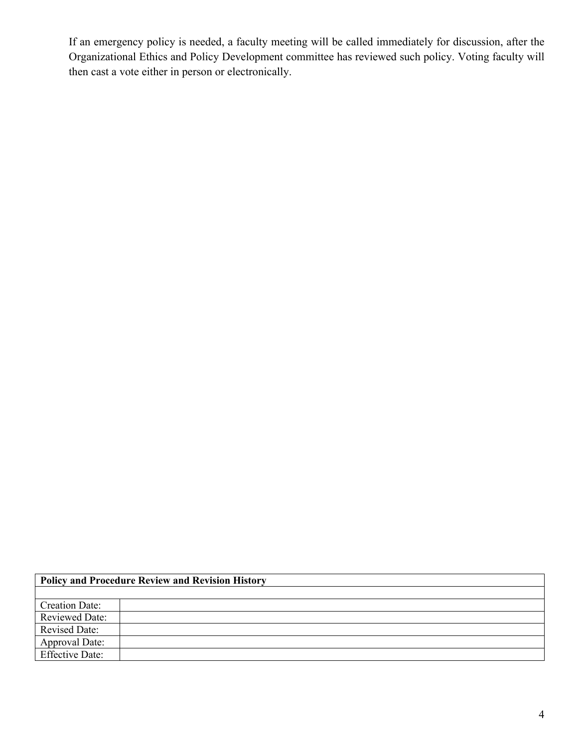If an emergency policy is needed, a faculty meeting will be called immediately for discussion, after the Organizational Ethics and Policy Development committee has reviewed such policy. Voting faculty will then cast a vote either in person or electronically.

| <b>Policy and Procedure Review and Revision History</b> |  |  |  |
|---------------------------------------------------------|--|--|--|
|                                                         |  |  |  |
| <b>Creation Date:</b>                                   |  |  |  |
| <b>Reviewed Date:</b>                                   |  |  |  |
| <b>Revised Date:</b>                                    |  |  |  |
| <b>Approval Date:</b>                                   |  |  |  |
| <b>Effective Date:</b>                                  |  |  |  |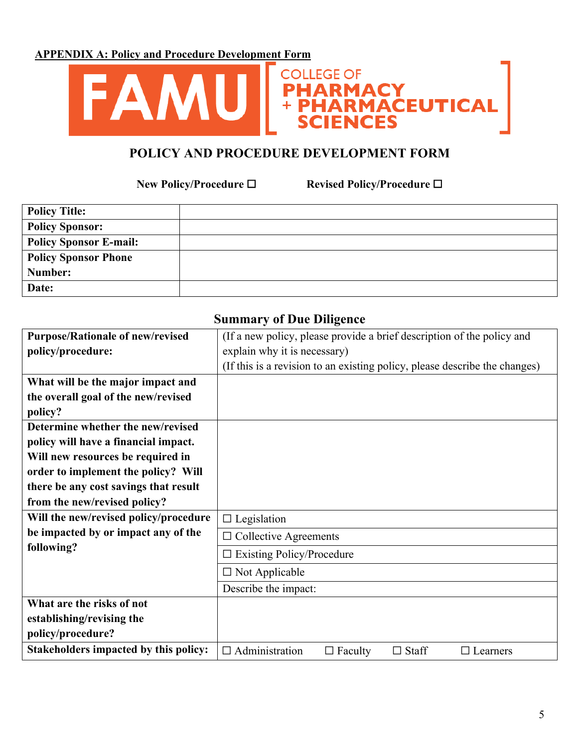**APPENDIX A: Policy and Procedure Development Form**



## **POLICY AND PROCEDURE DEVELOPMENT FORM**

 $+$  PF

**COLLEGE OF** 

**New Policy/Procedure** ☐ **Revised Policy/Procedure** ☐

ACY<br>MACEUTICAL

| <b>Policy Title:</b>        |  |
|-----------------------------|--|
| <b>Policy Sponsor:</b>      |  |
| Policy Sponsor E-mail:      |  |
| <b>Policy Sponsor Phone</b> |  |
| Number:                     |  |
| Date:                       |  |

| <b>Purpose/Rationale of new/revised</b>      | (If a new policy, please provide a brief description of the policy and     |  |
|----------------------------------------------|----------------------------------------------------------------------------|--|
| policy/procedure:                            | explain why it is necessary)                                               |  |
|                                              | (If this is a revision to an existing policy, please describe the changes) |  |
| What will be the major impact and            |                                                                            |  |
| the overall goal of the new/revised          |                                                                            |  |
| policy?                                      |                                                                            |  |
| Determine whether the new/revised            |                                                                            |  |
| policy will have a financial impact.         |                                                                            |  |
| Will new resources be required in            |                                                                            |  |
| order to implement the policy? Will          |                                                                            |  |
| there be any cost savings that result        |                                                                            |  |
| from the new/revised policy?                 |                                                                            |  |
| Will the new/revised policy/procedure        | $\Box$ Legislation                                                         |  |
| be impacted by or impact any of the          | $\Box$ Collective Agreements                                               |  |
| following?                                   | $\Box$ Existing Policy/Procedure                                           |  |
|                                              | $\Box$ Not Applicable                                                      |  |
|                                              | Describe the impact:                                                       |  |
| What are the risks of not                    |                                                                            |  |
| establishing/revising the                    |                                                                            |  |
| policy/procedure?                            |                                                                            |  |
| <b>Stakeholders impacted by this policy:</b> | $\Box$ Administration<br>$\Box$ Staff<br>$\Box$ Faculty<br>$\Box$ Learners |  |

#### **Summary of Due Diligence**